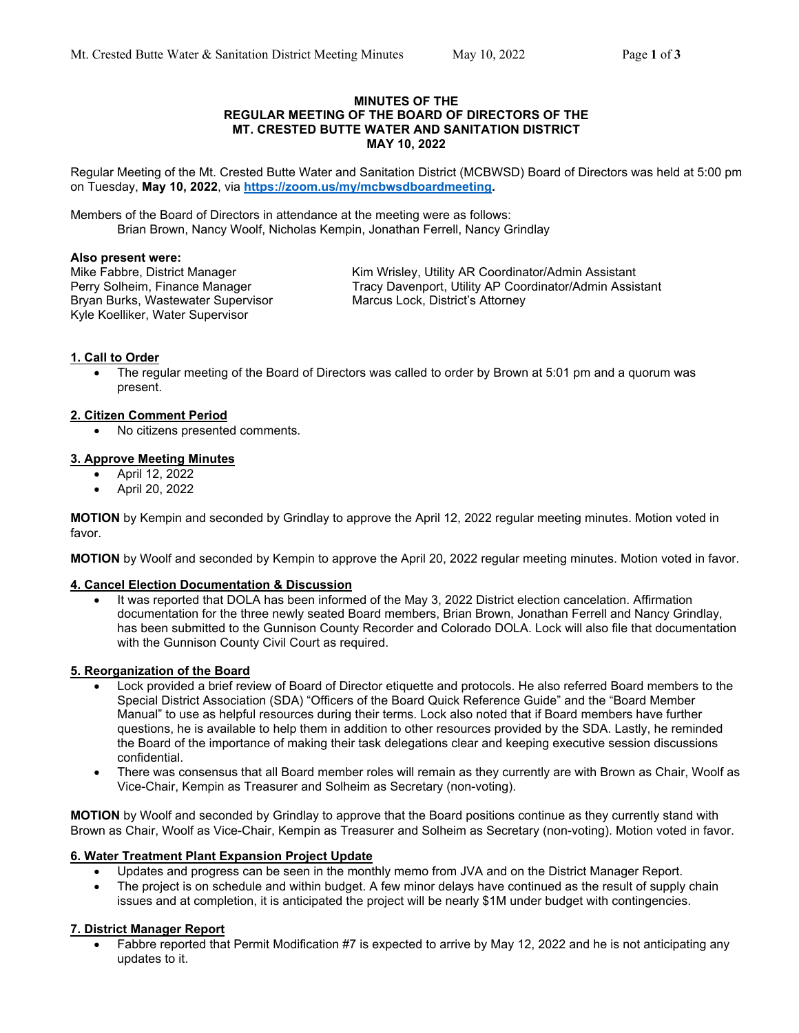#### **MINUTES OF THE REGULAR MEETING OF THE BOARD OF DIRECTORS OF THE MT. CRESTED BUTTE WATER AND SANITATION DISTRICT MAY 10, 2022**

Regular Meeting of the Mt. Crested Butte Water and Sanitation District (MCBWSD) Board of Directors was held at 5:00 pm on Tuesday, **May 10, 2022**, via **https://zoom.us/my/mcbwsdboardmeeting.**

Members of the Board of Directors in attendance at the meeting were as follows: Brian Brown, Nancy Woolf, Nicholas Kempin, Jonathan Ferrell, Nancy Grindlay

#### **Also present were:**

Bryan Burks, Wastewater Supervisor Marcus Lock, District's Attorney Kyle Koelliker, Water Supervisor

Mike Fabbre, District Manager Kim Wrisley, Utility AR Coordinator/Admin Assistant Perry Solheim, Finance Manager Tracy Davenport, Utility AP Coordinator/Admin Assistant

#### **1. Call to Order**

 The regular meeting of the Board of Directors was called to order by Brown at 5:01 pm and a quorum was present.

#### **2. Citizen Comment Period**

No citizens presented comments.

#### **3. Approve Meeting Minutes**

- April 12, 2022
- April 20, 2022

**MOTION** by Kempin and seconded by Grindlay to approve the April 12, 2022 regular meeting minutes. Motion voted in favor.

**MOTION** by Woolf and seconded by Kempin to approve the April 20, 2022 regular meeting minutes. Motion voted in favor.

#### **4. Cancel Election Documentation & Discussion**

 It was reported that DOLA has been informed of the May 3, 2022 District election cancelation. Affirmation documentation for the three newly seated Board members, Brian Brown, Jonathan Ferrell and Nancy Grindlay, has been submitted to the Gunnison County Recorder and Colorado DOLA. Lock will also file that documentation with the Gunnison County Civil Court as required.

#### **5. Reorganization of the Board**

- Lock provided a brief review of Board of Director etiquette and protocols. He also referred Board members to the Special District Association (SDA) "Officers of the Board Quick Reference Guide" and the "Board Member Manual" to use as helpful resources during their terms. Lock also noted that if Board members have further questions, he is available to help them in addition to other resources provided by the SDA. Lastly, he reminded the Board of the importance of making their task delegations clear and keeping executive session discussions confidential.
- There was consensus that all Board member roles will remain as they currently are with Brown as Chair, Woolf as Vice-Chair, Kempin as Treasurer and Solheim as Secretary (non-voting).

**MOTION** by Woolf and seconded by Grindlay to approve that the Board positions continue as they currently stand with Brown as Chair, Woolf as Vice-Chair, Kempin as Treasurer and Solheim as Secretary (non-voting). Motion voted in favor.

## **6. Water Treatment Plant Expansion Project Update**

- Updates and progress can be seen in the monthly memo from JVA and on the District Manager Report.
- The project is on schedule and within budget. A few minor delays have continued as the result of supply chain issues and at completion, it is anticipated the project will be nearly \$1M under budget with contingencies.

## **7. District Manager Report**

 Fabbre reported that Permit Modification #7 is expected to arrive by May 12, 2022 and he is not anticipating any updates to it.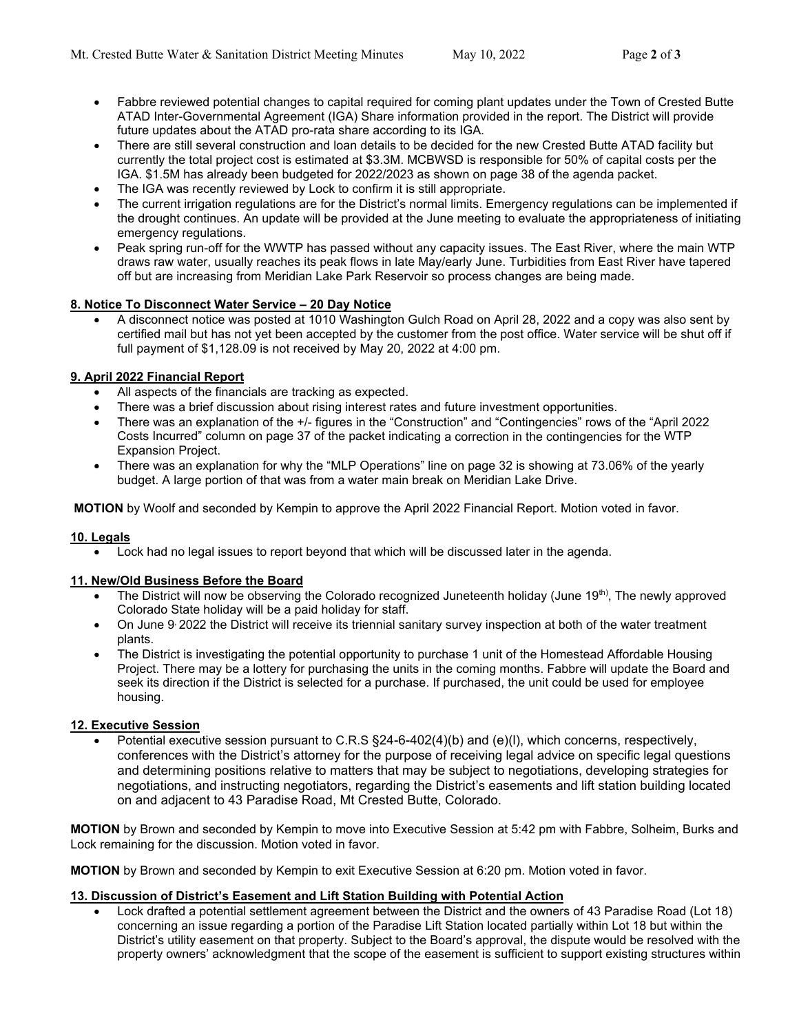- Fabbre reviewed potential changes to capital required for coming plant updates under the Town of Crested Butte ATAD Inter-Governmental Agreement (IGA) Share information provided in the report. The District will provide future updates about the ATAD pro-rata share according to its IGA.
- There are still several construction and loan details to be decided for the new Crested Butte ATAD facility but currently the total project cost is estimated at \$3.3M. MCBWSD is responsible for 50% of capital costs per the IGA. \$1.5M has already been budgeted for 2022/2023 as shown on page 38 of the agenda packet.
- The IGA was recently reviewed by Lock to confirm it is still appropriate.
- The current irrigation regulations are for the District's normal limits. Emergency regulations can be implemented if the drought continues. An update will be provided at the June meeting to evaluate the appropriateness of initiating emergency regulations.
- Peak spring run-off for the WWTP has passed without any capacity issues. The East River, where the main WTP draws raw water, usually reaches its peak flows in late May/early June. Turbidities from East River have tapered off but are increasing from Meridian Lake Park Reservoir so process changes are being made.

# **8. Notice To Disconnect Water Service – 20 Day Notice**

 A disconnect notice was posted at 1010 Washington Gulch Road on April 28, 2022 and a copy was also sent by certified mail but has not yet been accepted by the customer from the post office. Water service will be shut off if full payment of \$1,128.09 is not received by May 20, 2022 at 4:00 pm.

# **9. April 2022 Financial Report**

- All aspects of the financials are tracking as expected.
- There was a brief discussion about rising interest rates and future investment opportunities.
- There was an explanation of the +/- figures in the "Construction" and "Contingencies" rows of the "April 2022 Costs Incurred" column on page 37 of the packet indicating a correction in the contingencies for the WTP Expansion Project.
- There was an explanation for why the "MLP Operations" line on page 32 is showing at 73.06% of the yearly budget. A large portion of that was from a water main break on Meridian Lake Drive.

**MOTION** by Woolf and seconded by Kempin to approve the April 2022 Financial Report. Motion voted in favor.

## **10. Legals**

Lock had no legal issues to report beyond that which will be discussed later in the agenda.

## **11. New/Old Business Before the Board**

- The District will now be observing the Colorado recognized Juneteenth holiday (June 19<sup>th)</sup>, The newly approved Colorado State holiday will be a paid holiday for staff.
- On June 9: 2022 the District will receive its triennial sanitary survey inspection at both of the water treatment plants.
- The District is investigating the potential opportunity to purchase 1 unit of the Homestead Affordable Housing Project. There may be a lottery for purchasing the units in the coming months. Fabbre will update the Board and seek its direction if the District is selected for a purchase. If purchased, the unit could be used for employee housing.

## **12. Executive Session**

 Potential executive session pursuant to C.R.S §24-6-402(4)(b) and (e)(l), which concerns, respectively, conferences with the District's attorney for the purpose of receiving legal advice on specific legal questions and determining positions relative to matters that may be subject to negotiations, developing strategies for negotiations, and instructing negotiators, regarding the District's easements and lift station building located on and adjacent to 43 Paradise Road, Mt Crested Butte, Colorado.

**MOTION** by Brown and seconded by Kempin to move into Executive Session at 5:42 pm with Fabbre, Solheim, Burks and Lock remaining for the discussion. Motion voted in favor.

**MOTION** by Brown and seconded by Kempin to exit Executive Session at 6:20 pm. Motion voted in favor.

## **13. Discussion of District's Easement and Lift Station Building with Potential Action**

 Lock drafted a potential settlement agreement between the District and the owners of 43 Paradise Road (Lot 18) concerning an issue regarding a portion of the Paradise Lift Station located partially within Lot 18 but within the District's utility easement on that property. Subject to the Board's approval, the dispute would be resolved with the property owners' acknowledgment that the scope of the easement is sufficient to support existing structures within